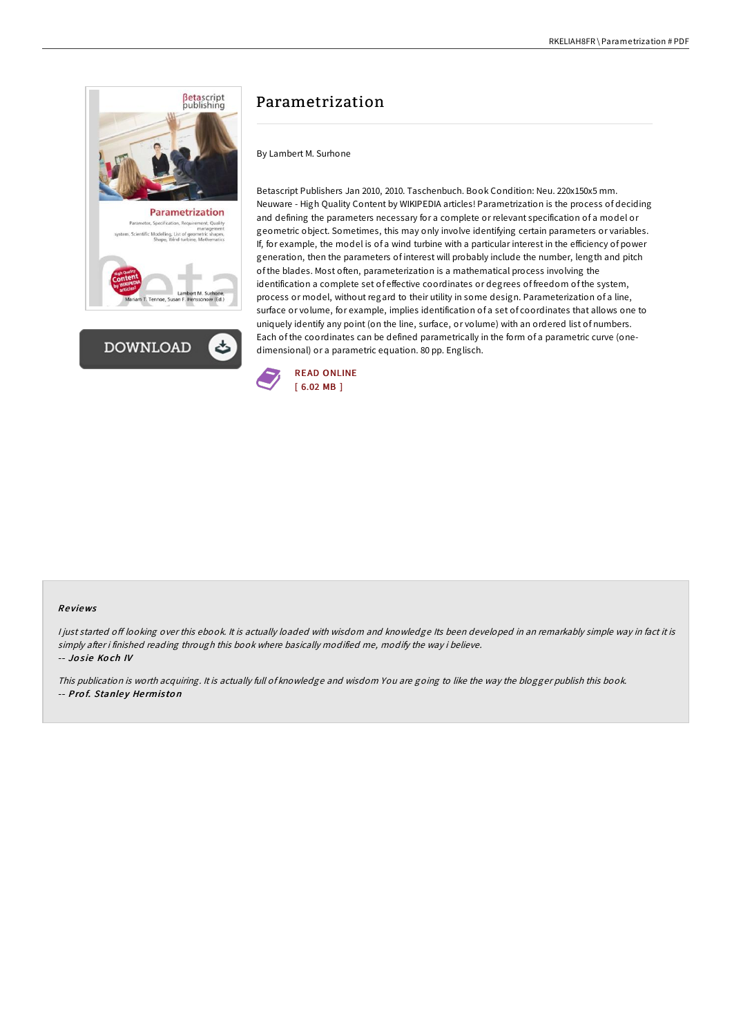



# Parametrization

By Lambert M. Surhone

Betascript Publishers Jan 2010, 2010. Taschenbuch. Book Condition: Neu. 220x150x5 mm. Neuware - High Quality Content by WIKIPEDIA articles! Parametrization is the process of deciding and defining the parameters necessary for a complete or relevant specification of a model or geometric object. Sometimes, this may only involve identifying certain parameters or variables. If, for example, the model is of a wind turbine with a particular interest in the efficiency of power generation, then the parameters of interest will probably include the number, length and pitch of the blades. Most often, parameterization is a mathematical process involving the identification a complete set of effective coordinates or degrees of freedom of the system, process or model, without regard to their utility in some design. Parameterization of a line, surface or volume, for example, implies identification of a set of coordinates that allows one to uniquely identify any point (on the line, surface, or volume) with an ordered list of numbers. Each of the coordinates can be defined parametrically in the form of a parametric curve (onedimensional) or a parametric equation. 80 pp. Englisch.



#### Re views

I just started off looking over this ebook. It is actually loaded with wisdom and knowledge Its been developed in an remarkably simple way in fact it is simply after i finished reading through this book where basically modified me, modify the way i believe. -- Josie Koch IV

This publication is worth acquiring. It is actually full of knowledge and wisdom You are going to like the way the blogger publish this book. -- Prof. Stanley Hermiston